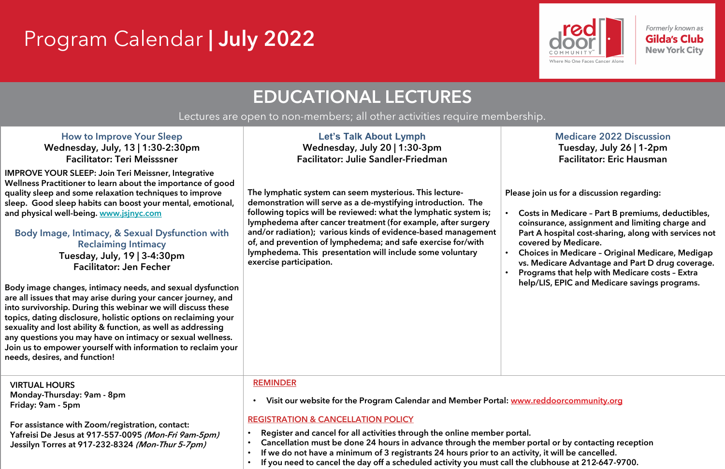# Program Calendar | July 2022

| <b>How to Improve Your Sleep</b><br>Wednesday, July, 13   1:30-2:30pm<br><b>Facilitator: Teri Meisssner</b>                                                                                                                                                                                                                                                                                                                                                                                                                                                                                                                                                                                                                                                                                                                                                                                                                                      | Let's Talk About Lymph<br>Wednesday, July 20   1:30-3pm<br><b>Facilitator: Julie Sandler-Friedman</b>                                                                                                                                                                                                                                                                                                                                                                                  |                                                                       |  |
|--------------------------------------------------------------------------------------------------------------------------------------------------------------------------------------------------------------------------------------------------------------------------------------------------------------------------------------------------------------------------------------------------------------------------------------------------------------------------------------------------------------------------------------------------------------------------------------------------------------------------------------------------------------------------------------------------------------------------------------------------------------------------------------------------------------------------------------------------------------------------------------------------------------------------------------------------|----------------------------------------------------------------------------------------------------------------------------------------------------------------------------------------------------------------------------------------------------------------------------------------------------------------------------------------------------------------------------------------------------------------------------------------------------------------------------------------|-----------------------------------------------------------------------|--|
| <b>IMPROVE YOUR SLEEP: Join Teri Meissner, Integrative</b><br>Wellness Practitioner to learn about the importance of good<br>quality sleep and some relaxation techniques to improve<br>sleep. Good sleep habits can boost your mental, emotional,<br>and physical well-being. www.jsjnyc.com<br>Body Image, Intimacy, & Sexual Dysfunction with<br><b>Reclaiming Intimacy</b><br>Tuesday, July, 19   3-4:30pm<br><b>Facilitator: Jen Fecher</b><br>Body image changes, intimacy needs, and sexual dysfunction<br>are all issues that may arise during your cancer journey, and<br>into survivorship. During this webinar we will discuss these<br>topics, dating disclosure, holistic options on reclaiming your<br>sexuality and lost ability & function, as well as addressing<br>any questions you may have on intimacy or sexual wellness.<br>Join us to empower yourself with information to reclaim your<br>needs, desires, and function! | The lymphatic system can seem mysterious. This lecture-<br>demonstration will serve as a de-mystifying introduction. The<br>following topics will be reviewed: what the lymphatic system is;<br>lymphedema after cancer treatment (for example, after surgery<br>and/or radiation); various kinds of evidence-based management<br>of, and prevention of lymphedema; and safe exercise for/with<br>lymphedema. This presentation will include some voluntary<br>exercise participation. | <b>Please</b><br>Cos<br>coil<br>Par<br>COV<br>Cho<br>VS.<br>Pro<br>he |  |
| <b>VIRTUAL HOURS</b>                                                                                                                                                                                                                                                                                                                                                                                                                                                                                                                                                                                                                                                                                                                                                                                                                                                                                                                             | <b>REMINDER</b>                                                                                                                                                                                                                                                                                                                                                                                                                                                                        |                                                                       |  |
| Monday-Thursday: 9am - 8pm                                                                                                                                                                                                                                                                                                                                                                                                                                                                                                                                                                                                                                                                                                                                                                                                                                                                                                                       | Visit our website for the Program Calendar and Member Portal: www.                                                                                                                                                                                                                                                                                                                                                                                                                     |                                                                       |  |
| Friday: 9am - 5pm                                                                                                                                                                                                                                                                                                                                                                                                                                                                                                                                                                                                                                                                                                                                                                                                                                                                                                                                | $\bullet$                                                                                                                                                                                                                                                                                                                                                                                                                                                                              |                                                                       |  |
| For assistance with Zoom/registration, contact:                                                                                                                                                                                                                                                                                                                                                                                                                                                                                                                                                                                                                                                                                                                                                                                                                                                                                                  | <b>REGISTRATION &amp; CANCELLATION POLICY</b>                                                                                                                                                                                                                                                                                                                                                                                                                                          |                                                                       |  |
| Yafreisi De Jesus at 917-557-0095 (Mon-Fri 9am-5pm)                                                                                                                                                                                                                                                                                                                                                                                                                                                                                                                                                                                                                                                                                                                                                                                                                                                                                              | Register and cancel for all activities through the online member portal.                                                                                                                                                                                                                                                                                                                                                                                                               |                                                                       |  |

**Medicare 2022 Discussion Tuesday, July 26 | 1-2pm Facilitator**: Eric Hausman

join us for a discussion regarding:

sts in Medicare - Part B premiums, deductibles, nsurance, assignment and limiting charge and t A hospital cost-sharing, along with services not rered by Medicare.

oices in Medicare - Original Medicare, Medigap Medicare Advantage and Part D drug coverage. grams that help with Medicare costs - Extra p/LIS, EPIC and Medicare savings programs.

**Yafreisi** De Jesus at 917-557-0095 (Mon-Fri 9am-5pm) **Jessilyn Torres** at **917-232-8324** (Mon-Thur 5-7pm)

• **Visit our website for the Program Calendar and Member Portal**: [www.reddoorcommunity.org](http://www.reddoorcommunity.org/)

- **Cancellation must be done 24 hours in advance through the member portal or by contacting reception**
- **If we do not have a minimum of 3 registrants 24 hours prior to an activity, it will be cancelled.**
- **If you need to cancel the day off a scheduled activity you must call the clubhouse at 212-647-9700.**



Formerly known as **Gilda's Club New York City** 

# EDUCATIONAL LECTURES

Lectures are open to non-members; all other activities require membership.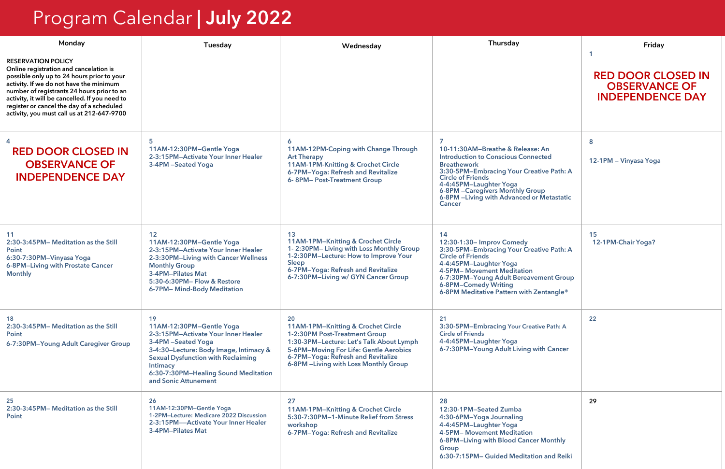| Monday                                                                                                                                                                                                                                                                                                                                                  | <b>Tuesday</b>                                                                                                                                                                                                                                                 | Wednesday                                                                                                                                                                                                                                      | <b>Thursday</b>                                                                                                                                                                                                                                                                                               | Friday                                                                       |
|---------------------------------------------------------------------------------------------------------------------------------------------------------------------------------------------------------------------------------------------------------------------------------------------------------------------------------------------------------|----------------------------------------------------------------------------------------------------------------------------------------------------------------------------------------------------------------------------------------------------------------|------------------------------------------------------------------------------------------------------------------------------------------------------------------------------------------------------------------------------------------------|---------------------------------------------------------------------------------------------------------------------------------------------------------------------------------------------------------------------------------------------------------------------------------------------------------------|------------------------------------------------------------------------------|
| <b>RESERVATION POLICY</b><br>Online registration and cancelation is<br>possible only up to 24 hours prior to your<br>activity. If we do not have the minimum<br>number of registrants 24 hours prior to an<br>activity, it will be cancelled. If you need to<br>register or cancel the day of a scheduled<br>activity, you must call us at 212-647-9700 |                                                                                                                                                                                                                                                                |                                                                                                                                                                                                                                                |                                                                                                                                                                                                                                                                                                               | <b>RED DOOR CLOSED IN</b><br><b>OBSERVANCE OF</b><br><b>INDEPENDENCE DAY</b> |
| <b>RED DOOR CLOSED IN</b><br><b>OBSERVANCE OF</b><br><b>INDEPENDENCE DAY</b>                                                                                                                                                                                                                                                                            | 5<br>11AM-12:30PM-Gentle Yoga<br>2-3:15PM-Activate Your Inner Healer<br>3-4PM -Seated Yoga                                                                                                                                                                     | 11AM-12PM-Coping with Change Through<br><b>Art Therapy</b><br>11AM-1PM-Knitting & Crochet Circle<br>6-7PM-Yoga: Refresh and Revitalize<br>6-8PM-Post-Treatment Group                                                                           | 7<br>10-11:30AM-Breathe & Release: An<br><b>Introduction to Conscious Connected</b><br><b>Breathework</b><br>3:30-5PM-Embracing Your Creative Path: A<br><b>Circle of Friends</b><br>4-4:45PM-Laughter Yoga<br>6-8PM - Caregivers Monthly Group<br>6-8PM -Living with Advanced or Metastatic<br><b>Cancer</b> | 8<br>12-1PM - Vinyasa Yoga                                                   |
| 11<br>2:30-3:45PM- Meditation as the Still<br>Point<br>6:30-7:30PM-Vinyasa Yoga<br>6-8PM-Living with Prostate Cancer<br><b>Monthly</b>                                                                                                                                                                                                                  | 12<br>11AM-12:30PM-Gentle Yoga<br>2-3:15PM-Activate Your Inner Healer<br>2-3:30PM-Living with Cancer Wellness<br><b>Monthly Group</b><br>3-4PM-Pilates Mat<br>5:30-6:30PM- Flow & Restore<br>6-7PM- Mind-Body Meditation                                       | 13<br>11AM-1PM-Knitting & Crochet Circle<br>1-2:30PM-Living with Loss Monthly Group<br>1-2:30PM-Lecture: How to Improve Your<br><b>Sleep</b><br>6-7PM-Yoga: Refresh and Revitalize<br>6-7:30PM-Living w/ GYN Cancer Group                      | 14<br>12:30-1:30- Improv Comedy<br>3:30-5PM-Embracing Your Creative Path: A<br><b>Circle of Friends</b><br>4-4:45PM-Laughter Yoga<br><b>4-5PM- Movement Meditation</b><br>6-7:30PM-Young Adult Bereavement Group<br>6-8PM-Comedy Writing<br>6-8PM Meditative Pattern with Zentangle®                          | 15<br>12-1PM-Chair Yoga?                                                     |
| 18<br>2:30-3:45PM- Meditation as the Still<br>Point<br>6-7:30PM-Young Adult Caregiver Group                                                                                                                                                                                                                                                             | 19<br>11AM-12:30PM-Gentle Yoga<br>2-3:15PM-Activate Your Inner Healer<br>3-4PM -Seated Yoga<br>3-4:30-Lecture: Body Image, Intimacy &<br><b>Sexual Dysfunction with Reclaiming</b><br>Intimacy<br>6:30-7:30PM-Healing Sound Meditation<br>and Sonic Attunement | 20<br>11AM-1PM-Knitting & Crochet Circle<br>1-2:30PM Post-Treatment Group<br>1:30-3PM-Lecture: Let's Talk About Lymph<br>5-6PM-Moving For Life: Gentle Aerobics<br>6-7PM-Yoga: Refresh and Revitalize<br>6-8PM -Living with Loss Monthly Group | 21<br>3:30-5PM-Embracing Your Creative Path: A<br><b>Circle of Friends</b><br>4-4:45PM-Laughter Yoga<br>6-7:30PM-Young Adult Living with Cancer                                                                                                                                                               | 22                                                                           |
| 25<br>2:30-3:45PM- Meditation as the Still<br>Point                                                                                                                                                                                                                                                                                                     | 26<br>11AM-12:30PM-Gentle Yoga<br>1-2PM-Lecture: Medicare 2022 Discussion<br>2-3:15PM--Activate Your Inner Healer<br><b>3-4PM-Pilates Mat</b>                                                                                                                  | 27<br>11AM-1PM-Knitting & Crochet Circle<br>5:30-7:30PM-1-Minute Relief from Stress<br>workshop<br>6-7PM-Yoga: Refresh and Revitalize                                                                                                          | 28<br>12:30-1PM-Seated Zumba<br>4:30-6PM-Yoga Journaling<br>4-4:45PM-Laughter Yoga<br><b>4-5PM- Movement Meditation</b><br>6-8PM-Living with Blood Cancer Monthly<br><b>Group</b><br>6:30-7:15PM- Guided Meditation and Reiki                                                                                 | 29                                                                           |

# Program Calendar | July 2022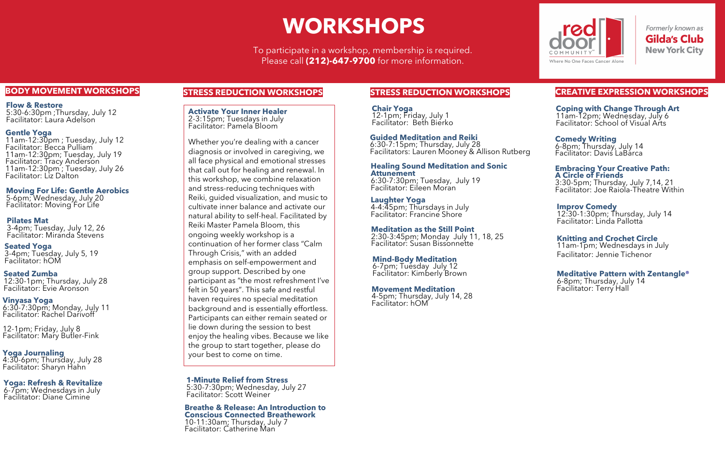#### **BODY MOVEMENT WORKSHOPS**

To participate in a workshop, membership is required. Please call **(212)-647-9700** for more information.

# **WORKSHOPS**

#### **CREATIVE EXPRESSION WORKSHOPS**

#### **Gentle Yoga**

11am-12:30pm ; Tuesday, July 12 Facilitator: Becca Pulliam 11am-12:30pm; Tuesday, July 19 Facilitator: Tracy Anderson 11am-12:30pm ; Tuesday, July 26 Facilitator: Liz Dalton

**Moving For Life: Gentle Aerobics** 5-6pm; Wednesday, July 20 Facilitator: Moving For Life

#### **Pilates Mat** 3-4pm; Tuesday, July 12, 26 Facilitator: Miranda Stevens

**Seated Yoga** 3-4pm; Tuesday, July 5, 19 Facilitator: hOM

**Vinyasa Yoga** 6:30-7:30pm; Monday, July 11 Facilitator: Rachel Darivoff

12-1pm; Friday, July 8 Facilitator: Mary Butler-Fink

#### **Yoga: Refresh & Revitalize**

6-7pm; Wednesdays in July Facilitator: Diane Cimine

#### **STRESS REDUCTION WORKSHOPS**

**Laughter Yoga** 4-4:45pm; Thursdays in July Facilitator: Francine Shore

**Meditation as the Still Point**

2:30-3:45pm; Monday July 11, 18, 25 Facilitator: Susan Bissonnette

#### **Movement Meditation**

4-5pm; Thursday, July 14, 28 Facilitator: hOM



Formerly known as **Gilda's Club New York City** 

#### **Embracing Your Creative Path:**

**A Circle of Friends** 3:30-5pm; Thursday, July 7,14, 21 Facilitator: Joe Raiola-Theatre Within

**Seated Zumba** 12:30-1pm; Thursday, July 28 Facilitator: Evie Aronson

#### **Knitting and Crochet Circle**

11am-1pm; Wednesdays in July Facilitator: Jennie Tichenor

#### **Guided Meditation and Reiki**

6:30-7:15pm; Thursday, July 28 Facilitators: Lauren Mooney & Allison Rutberg

**Flow & Restore** 5:30-6:30pm ;Thursday, July 12 Facilitator: Laura Adelson

#### **Improv Comedy**

12:30-1:30pm; Thursday, July 14 Facilitator: Linda Pallotta

**Yoga Journaling**  4:30-6pm; Thursday, July 28 Facilitator: Sharyn Hahn

**Chair Yoga** 12-1pm; Friday, July 1 Facilitator: Beth Bierko

**Activate Your Inner Healer** 2-3:15pm; Tuesdays in July Facilitator: Pamela Bloom

Whether you're dealing with a cancer diagnosis or involved in caregiving, we all face physical and emotional stresses that call out for healing and renewal. In this workshop, we combine relaxation and stress-reducing techniques with Reiki, guided visualization, and music to cultivate inner balance and activate our natural ability to self-heal. Facilitated by Reiki Master Pamela Bloom, this ongoing weekly workshop is a continuation of her former class "Calm Through Crisis," with an added emphasis on self-empowerment and group support. Described by one participant as "the most refreshment I've felt in 50 years". This safe and restful haven requires no special meditation background and is essentially effortless. Participants can either remain seated or lie down during the session to best enjoy the healing vibes. Because we like the group to start together, please do your best to come on time.

#### **Meditative Pattern with Zentangle®**

6-8pm; Thursday, July 14 Facilitator: Terry Hall

**1-Minute Relief from Stress**

5:30-7:30pm; Wednesday, July 27 Facilitator: Scott Weiner

**Breathe & Release: An Introduction to Conscious Connected Breathework** 10-11:30am; Thursday, July 7 Facilitator: Catherine Man

#### **Healing Sound Meditation and Sonic Attunement**

6:30-7:30pm; Tuesday, July 19 Facilitator: Eileen Moran

#### **Mind-Body Meditation**

6-7pm; Tuesday July 12 Facilitator: Kimberly Brown

#### **Coping with Change Through Art** 11am-12pm; Wednesday, July 6 Facilitator: School of Visual Arts

#### **Comedy Writing**

6-8pm; Thursday, July 14 Facilitator: Davis LaBarca

#### **STRESS REDUCTION WORKSHOPS**